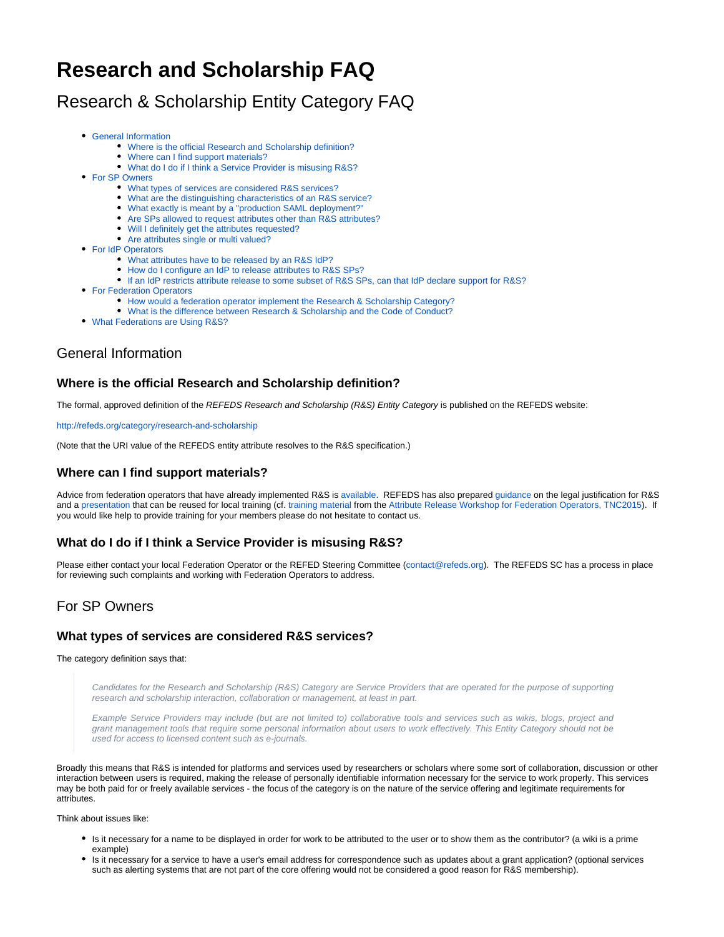# **Research and Scholarship FAQ**

## Research & Scholarship Entity Category FAQ

- [General Information](#page-0-0)
	- [Where is the official Research and Scholarship definition?](#page-0-1)
		- [Where can I find support materials?](#page-0-2)
		- [What do I do if I think a Service Provider is misusing R&S?](#page-0-3)
- [For SP Owners](#page-0-4)
	- [What types of services are considered R&S services?](#page-0-5)
	- [What are the distinguishing characteristics of an R&S service?](#page-1-0)
	- [What exactly is meant by a "production SAML deployment?"](#page-1-1)
	- [Are SPs allowed to request attributes other than R&S attributes?](#page-1-2)
	- [Will I definitely get the attributes requested?](#page-1-3)
	- [Are attributes single or multi valued?](#page-1-4)
- [For IdP Operators](#page-1-5)
	- [What attributes have to be released by an R&S IdP?](#page-1-6)
	- [How do I configure an IdP to release attributes to R&S SPs?](#page-2-0)
	- [If an IdP restricts attribute release to some subset of R&S SPs, can that IdP declare support for R&S?](#page-2-1)
- **[For Federation Operators](#page-2-2)** 
	- [How would a federation operator implement the Research & Scholarship Category?](#page-2-3)
	- [What is the difference between Research & Scholarship and the Code of Conduct?](#page-2-4)
- [What Federations are Using R&S?](#page-2-5)

### <span id="page-0-0"></span>General Information

#### <span id="page-0-1"></span>**Where is the official Research and Scholarship definition?**

The formal, approved definition of the REFEDS Research and Scholarship (R&S) Entity Category is published on the REFEDS website:

<http://refeds.org/category/research-and-scholarship>

(Note that the URI value of the REFEDS entity attribute resolves to the R&S specification.)

#### <span id="page-0-2"></span>**Where can I find support materials?**

Advice from federation operators that have already implemented R&S is available. REFEDS has also prepared [guidance](https://wiki.refeds.org/display/ENT/Guidance+on+justification+for+attribute+release+for+RandS) on the legal justification for R&S and a [presentation](https://wiki.refeds.org/pages/viewpage.action?pageId=25919495) that can be reused for local training (cf. [training material](https://wiki.edugain.org/AttributeReleaseTraining2015) from the [Attribute Release Workshop for Federation Operators, TNC2015\)](https://tnc15.terena.org/core/event/5). If you would like help to provide training for your members please do not hesitate to contact us.

#### <span id="page-0-3"></span>**What do I do if I think a Service Provider is misusing R&S?**

Please either contact your local Federation Operator or the REFED Steering Committee ([contact@refeds.org](mailto:contact@refeds.org)). The REFEDS SC has a process in place for reviewing such complaints and working with Federation Operators to address.

## <span id="page-0-4"></span>For SP Owners

#### <span id="page-0-5"></span>**What types of services are considered R&S services?**

The category definition says that:

Candidates for the Research and Scholarship (R&S) Category are Service Providers that are operated for the purpose of supporting research and scholarship interaction, collaboration or management, at least in part.

Example Service Providers may include (but are not limited to) collaborative tools and services such as wikis, blogs, project and grant management tools that require some personal information about users to work effectively. This Entity Category should not be used for access to licensed content such as e-journals.

Broadly this means that R&S is intended for platforms and services used by researchers or scholars where some sort of collaboration, discussion or other interaction between users is required, making the release of personally identifiable information necessary for the service to work properly. This services may be both paid for or freely available services - the focus of the category is on the nature of the service offering and legitimate requirements for attributes.

Think about issues like:

- Is it necessary for a name to be displayed in order for work to be attributed to the user or to show them as the contributor? (a wiki is a prime example)
- Is it necessary for a service to have a user's email address for correspondence such as updates about a grant application? (optional services such as alerting systems that are not part of the core offering would not be considered a good reason for R&S membership).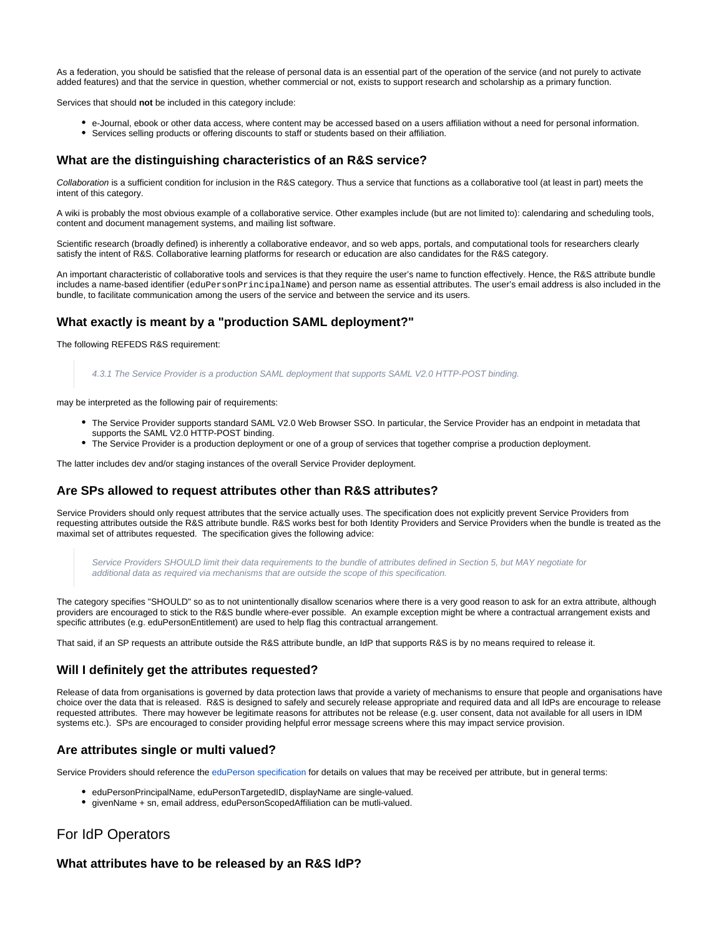As a federation, you should be satisfied that the release of personal data is an essential part of the operation of the service (and not purely to activate added features) and that the service in question, whether commercial or not, exists to support research and scholarship as a primary function.

Services that should **not** be included in this category include:

- e-Journal, ebook or other data access, where content may be accessed based on a users affiliation without a need for personal information.
- Services selling products or offering discounts to staff or students based on their affiliation.

#### <span id="page-1-0"></span>**What are the distinguishing characteristics of an R&S service?**

Collaboration is a sufficient condition for inclusion in the R&S category. Thus a service that functions as a collaborative tool (at least in part) meets the intent of this category.

A wiki is probably the most obvious example of a collaborative service. Other examples include (but are not limited to): calendaring and scheduling tools, content and document management systems, and mailing list software.

Scientific research (broadly defined) is inherently a collaborative endeavor, and so web apps, portals, and computational tools for researchers clearly satisfy the intent of R&S. Collaborative learning platforms for research or education are also candidates for the R&S category.

An important characteristic of collaborative tools and services is that they require the user's name to function effectively. Hence, the R&S attribute bundle includes a name-based identifier (eduPersonPrincipalName) and person name as essential attributes. The user's email address is also included in the bundle, to facilitate communication among the users of the service and between the service and its users.

#### <span id="page-1-1"></span>**What exactly is meant by a "production SAML deployment?"**

The following REFEDS R&S requirement:

4.3.1 The Service Provider is a production SAML deployment that supports SAML V2.0 HTTP-POST binding.

may be interpreted as the following pair of requirements:

- The Service Provider supports standard SAML V2.0 Web Browser SSO. In particular, the Service Provider has an endpoint in metadata that supports the SAML V2.0 HTTP-POST binding.
- The Service Provider is a production deployment or one of a group of services that together comprise a production deployment.

The latter includes dev and/or staging instances of the overall Service Provider deployment.

#### <span id="page-1-2"></span>**Are SPs allowed to request attributes other than R&S attributes?**

Service Providers should only request attributes that the service actually uses. The specification does not explicitly prevent Service Providers from requesting attributes outside the R&S attribute bundle. R&S works best for both Identity Providers and Service Providers when the bundle is treated as the maximal set of attributes requested. The specification gives the following advice:

Service Providers SHOULD limit their data requirements to the bundle of attributes defined in Section 5, but MAY negotiate for additional data as required via mechanisms that are outside the scope of this specification.

The category specifies "SHOULD" so as to not unintentionally disallow scenarios where there is a very good reason to ask for an extra attribute, although providers are encouraged to stick to the R&S bundle where-ever possible. An example exception might be where a contractual arrangement exists and specific attributes (e.g. eduPersonEntitlement) are used to help flag this contractual arrangement.

That said, if an SP requests an attribute outside the R&S attribute bundle, an IdP that supports R&S is by no means required to release it.

#### <span id="page-1-3"></span>**Will I definitely get the attributes requested?**

Release of data from organisations is governed by data protection laws that provide a variety of mechanisms to ensure that people and organisations have choice over the data that is released. R&S is designed to safely and securely release appropriate and required data and all IdPs are encourage to release requested attributes. There may however be legitimate reasons for attributes not be release (e.g. user consent, data not available for all users in IDM systems etc.). SPs are encouraged to consider providing helpful error message screens where this may impact service provision.

#### <span id="page-1-4"></span>**Are attributes single or multi valued?**

Service Providers should reference the [eduPerson specification](http://software.internet2.edu/eduperson/internet2-mace-dir-eduperson-201602.html#eduPersonScopedAffiliation) for details on values that may be received per attribute, but in general terms:

- **eduPersonPrincipalName, eduPersonTargetedID, displayName are single-valued.**
- givenName + sn, email address, eduPersonScopedAffiliation can be mutli-valued.

## <span id="page-1-5"></span>For IdP Operators

#### <span id="page-1-6"></span>**What attributes have to be released by an R&S IdP?**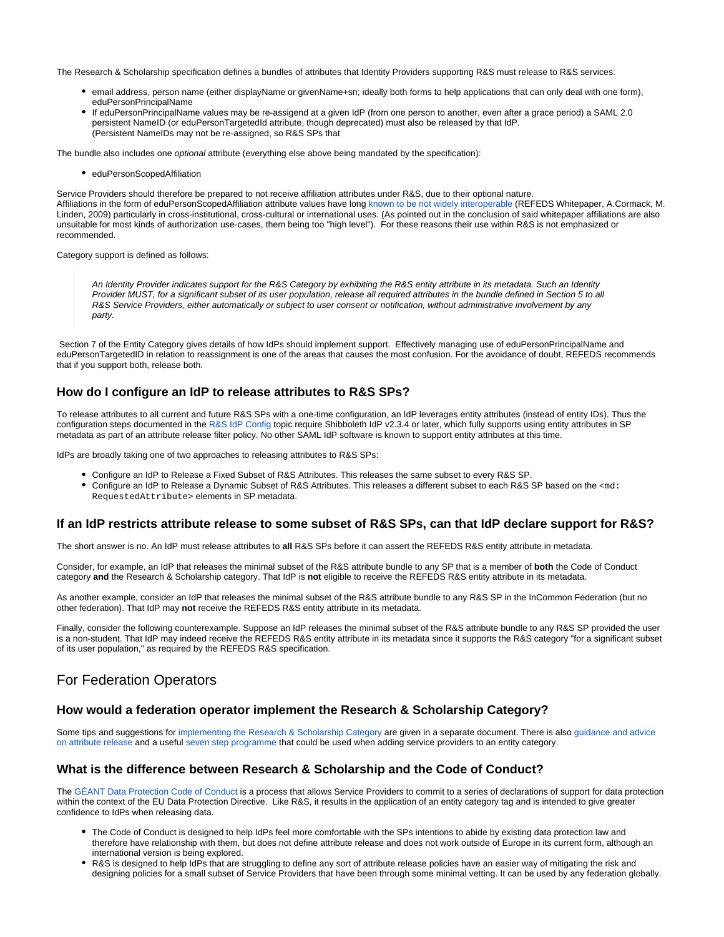The Research & Scholarship specification defines a bundles of attributes that Identity Providers supporting R&S must release to R&S services:

- email address, person name (either displayName or givenName+sn; ideally both forms to help applications that can only deal with one form), eduPersonPrincipalName
- If eduPersonPrincipalName values may be re-assigend at a given IdP (from one person to another, even after a grace period) a SAML 2.0 persistent NameID (or eduPersonTargetedId attribute, though deprecated) must also be released by that IdP. (Persistent NameIDs may not be re-assigned, so R&S SPs that

The bundle also includes one optional attribute (everything else above being mandated by the specification):

• eduPersonScopedAffiliation

Service Providers should therefore be prepared to not receive affiliation attributes under R&S, due to their optional nature. Affiliations in the form of eduPersonScopedAffiliation attribute values have long [known to be not widely interoperable](https://refeds.org/wp-content/uploads/2015/05/ePSAcomparison_0_13.pdf) (REFEDS Whitepaper, A.Cormack, M. Linden, 2009) particularly in cross-institutional, cross-cultural or international uses. (As pointed out in the conclusion of said whitepaper affiliations are also unsuitable for most kinds of authorization use-cases, them being too "high level"). For these reasons their use within R&S is not emphasized or recommended.

Category support is defined as follows:

An Identity Provider indicates support for the R&S Category by exhibiting the R&S entity attribute in its metadata. Such an Identity Provider MUST, for a significant subset of its user population, release all required attributes in the bundle defined in Section 5 to all R&S Service Providers, either automatically or subject to user consent or notification, without administrative involvement by any party.

Section 7 of the Entity Category gives details of how IdPs should implement support. Effectively managing use of eduPersonPrincipalName and eduPersonTargetedID in relation to reassignment is one of the areas that causes the most confusion. For the avoidance of doubt, REFEDS recommends that if you support both, release both.

#### <span id="page-2-0"></span>**How do I configure an IdP to release attributes to R&S SPs?**

To release attributes to all current and future R&S SPs with a one-time configuration, an IdP leverages entity attributes (instead of entity IDs). Thus the configuration steps documented in the [R&S IdP Config](https://wiki.refeds.org/display/ENT/Research+and+Scholarship+IdP+Config) topic require Shibboleth IdP v2.3.4 or later, which fully supports using entity attributes in SP metadata as part of an attribute release filter policy. No other SAML IdP software is known to support entity attributes at this time.

IdPs are broadly taking one of two approaches to releasing attributes to R&S SPs:

- Configure an IdP to Release a Fixed Subset of R&S Attributes. This releases the same subset to every R&S SP.
- Configure an IdP to Release a Dynamic Subset of R&S Attributes. This releases a different subset to each R&S SP based on the <md: RequestedAttribute> elements in SP metadata.

#### <span id="page-2-1"></span>**If an IdP restricts attribute release to some subset of R&S SPs, can that IdP declare support for R&S?**

The short answer is no. An IdP must release attributes to **all** R&S SPs before it can assert the REFEDS R&S entity attribute in metadata.

Consider, for example, an IdP that releases the minimal subset of the R&S attribute bundle to any SP that is a member of **both** the Code of Conduct category **and** the Research & Scholarship category. That IdP is **not** eligible to receive the REFEDS R&S entity attribute in its metadata.

As another example, consider an IdP that releases the minimal subset of the R&S attribute bundle to any R&S SP in the InCommon Federation (but no other federation). That IdP may **not** receive the REFEDS R&S entity attribute in its metadata.

Finally, consider the following counterexample. Suppose an IdP releases the minimal subset of the R&S attribute bundle to any R&S SP provided the user is a non-student. That IdP may indeed receive the REFEDS R&S entity attribute in its metadata since it supports the R&S category "for a significant subset of its user population," as required by the REFEDS R&S specification.

## <span id="page-2-2"></span>For Federation Operators

#### <span id="page-2-3"></span>**How would a federation operator implement the Research & Scholarship Category?**

Some tips and suggestions for [implementing the Research & Scholarship Category](https://wiki.refeds.org/pages/viewpage.action?pageId=57147646) are given in a separate document. There is also [guidance and advice](https://wiki.refeds.org/display/ENT/Guidance+on+justification+for+attribute+release+for+RandS)  [on attribute release](https://wiki.refeds.org/display/ENT/Guidance+on+justification+for+attribute+release+for+RandS) and a useful [seven step programme](https://wiki.refeds.org/display/ENT/Guidance+on+justification+for+attribute+release+for+RandS) that could be used when adding service providers to an entity category.

#### <span id="page-2-4"></span>**What is the difference between Research & Scholarship and the Code of Conduct?**

The [GÉANT Data Protection Code of Conduct](https://wiki.refeds.org/display/CODE/Data+Protection+Code+of+Conduct+Home) is a process that allows Service Providers to commit to a series of declarations of support for data protection within the context of the EU Data Protection Directive. Like R&S, it results in the application of an entity category tag and is intended to give greater confidence to IdPs when releasing data.

- The Code of Conduct is designed to help IdPs feel more comfortable with the SPs intentions to abide by existing data protection law and therefore have relationship with them, but does not define attribute release and does not work outside of Europe in its current form, although an international version is being explored.
- <span id="page-2-5"></span>R&S is designed to help IdPs that are struggling to define any sort of attribute release policies have an easier way of mitigating the risk and designing policies for a small subset of Service Providers that have been through some minimal vetting. It can be used by any federation globally.